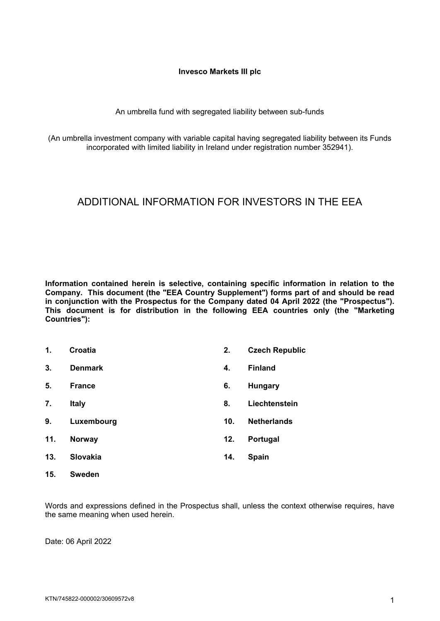#### **Invesco Markets III plc**

### An umbrella fund with segregated liability between sub-funds

(An umbrella investment company with variable capital having segregated liability between its Funds incorporated with limited liability in Ireland under registration number 352941).

# ADDITIONAL INFORMATION FOR INVESTORS IN THE EEA

**Information contained herein is selective, containing specific information in relation to the Company. This document (the "EEA Country Supplement") forms part of and should be read in conjunction with the Prospectus for the Company dated 04 April 2022 (the "Prospectus"). This document is for distribution in the following EEA countries only (the "Marketing Countries"):**

| 1.            | Croatia         | 2.  | <b>Czech Republic</b> |
|---------------|-----------------|-----|-----------------------|
| 3.            | <b>Denmark</b>  | 4.  | <b>Finland</b>        |
| 5.            | <b>France</b>   | 6.  | <b>Hungary</b>        |
| 7.            | <b>Italy</b>    | 8.  | Liechtenstein         |
| 9.            | Luxembourg      | 10. | <b>Netherlands</b>    |
| 11.           | <b>Norway</b>   | 12. | Portugal              |
| 13.           | <b>Slovakia</b> | 14. | <b>Spain</b>          |
| $\sim$ $\sim$ | - -             |     |                       |

**15. Sweden**

Words and expressions defined in the Prospectus shall, unless the context otherwise requires, have the same meaning when used herein.

Date: 06 April 2022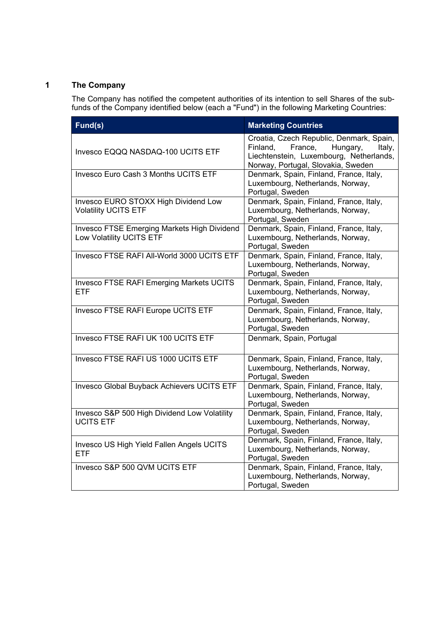## **1 The Company**

The Company has notified the competent authorities of its intention to sell Shares of the subfunds of the Company identified below (each a "Fund") in the following Marketing Countries:

| Fund(s)                                                                 | <b>Marketing Countries</b>                                                                                                                                             |
|-------------------------------------------------------------------------|------------------------------------------------------------------------------------------------------------------------------------------------------------------------|
| Invesco EQQQ NASDAQ-100 UCITS ETF                                       | Croatia, Czech Republic, Denmark, Spain,<br>Finland,<br>France,<br>Hungary,<br>Italy,<br>Liechtenstein, Luxembourg, Netherlands,<br>Norway, Portugal, Slovakia, Sweden |
| Invesco Euro Cash 3 Months UCITS ETF                                    | Denmark, Spain, Finland, France, Italy,<br>Luxembourg, Netherlands, Norway,<br>Portugal, Sweden                                                                        |
| Invesco EURO STOXX High Dividend Low<br><b>Volatility UCITS ETF</b>     | Denmark, Spain, Finland, France, Italy,<br>Luxembourg, Netherlands, Norway,<br>Portugal, Sweden                                                                        |
| Invesco FTSE Emerging Markets High Dividend<br>Low Volatility UCITS ETF | Denmark, Spain, Finland, France, Italy,<br>Luxembourg, Netherlands, Norway,<br>Portugal, Sweden                                                                        |
| Invesco FTSE RAFI All-World 3000 UCITS ETF                              | Denmark, Spain, Finland, France, Italy,<br>Luxembourg, Netherlands, Norway,<br>Portugal, Sweden                                                                        |
| Invesco FTSE RAFI Emerging Markets UCITS<br><b>ETF</b>                  | Denmark, Spain, Finland, France, Italy,<br>Luxembourg, Netherlands, Norway,<br>Portugal, Sweden                                                                        |
| Invesco FTSE RAFI Europe UCITS ETF                                      | Denmark, Spain, Finland, France, Italy,<br>Luxembourg, Netherlands, Norway,<br>Portugal, Sweden                                                                        |
| Invesco FTSE RAFI UK 100 UCITS ETF                                      | Denmark, Spain, Portugal                                                                                                                                               |
| Invesco FTSE RAFI US 1000 UCITS ETF                                     | Denmark, Spain, Finland, France, Italy,<br>Luxembourg, Netherlands, Norway,<br>Portugal, Sweden                                                                        |
| Invesco Global Buyback Achievers UCITS ETF                              | Denmark, Spain, Finland, France, Italy,<br>Luxembourg, Netherlands, Norway,<br>Portugal, Sweden                                                                        |
| Invesco S&P 500 High Dividend Low Volatility<br><b>UCITS ETF</b>        | Denmark, Spain, Finland, France, Italy,<br>Luxembourg, Netherlands, Norway,<br>Portugal, Sweden                                                                        |
| Invesco US High Yield Fallen Angels UCITS<br><b>ETF</b>                 | Denmark, Spain, Finland, France, Italy,<br>Luxembourg, Netherlands, Norway,<br>Portugal, Sweden                                                                        |
| Invesco S&P 500 QVM UCITS ETF                                           | Denmark, Spain, Finland, France, Italy,<br>Luxembourg, Netherlands, Norway,<br>Portugal, Sweden                                                                        |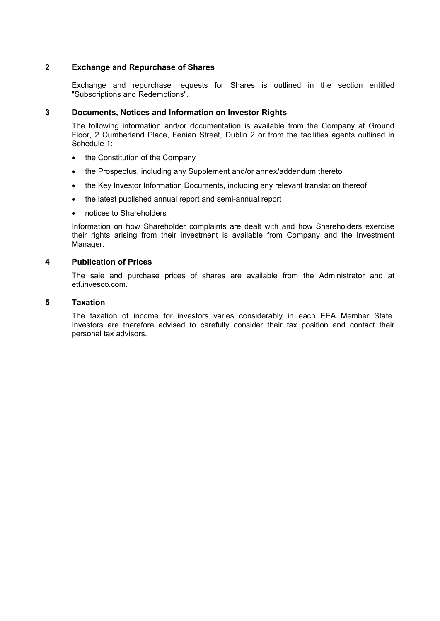## **2 Exchange and Repurchase of Shares**

Exchange and repurchase requests for Shares is outlined in the section entitled "Subscriptions and Redemptions".

#### **3 Documents, Notices and Information on Investor Rights**

The following information and/or documentation is available from the Company at Ground Floor, 2 Cumberland Place, Fenian Street, Dublin 2 or from the facilities agents outlined in Schedule 1:

- the Constitution of the Company
- the Prospectus, including any Supplement and/or annex/addendum thereto
- the Key Investor Information Documents, including any relevant translation thereof
- the latest published annual report and semi-annual report
- notices to Shareholders

Information on how Shareholder complaints are dealt with and how Shareholders exercise their rights arising from their investment is available from Company and the Investment Manager.

## **4 Publication of Prices**

The sale and purchase prices of shares are available from the Administrator and at etf.invesco.com.

## **5 Taxation**

The taxation of income for investors varies considerably in each EEA Member State. Investors are therefore advised to carefully consider their tax position and contact their personal tax advisors.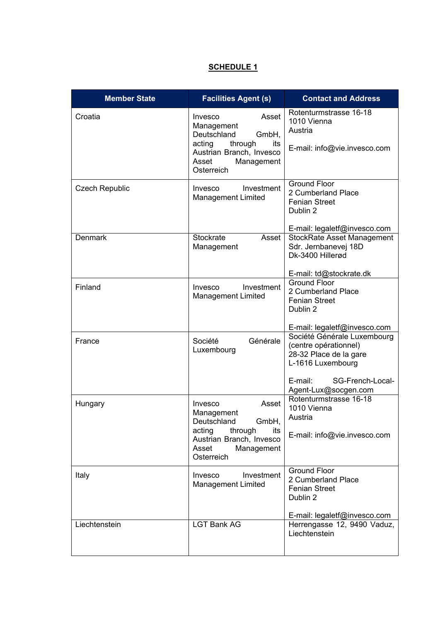# **SCHEDULE 1**

| <b>Member State</b>   | <b>Facilities Agent (s)</b>                                                                                                                         | <b>Contact and Address</b>                                                                                                                                 |
|-----------------------|-----------------------------------------------------------------------------------------------------------------------------------------------------|------------------------------------------------------------------------------------------------------------------------------------------------------------|
| Croatia               | Asset<br>Invesco<br>Management<br>Deutschland<br>GmbH,<br>acting<br>through<br>its<br>Austrian Branch, Invesco<br>Asset<br>Management<br>Osterreich | Rotenturmstrasse 16-18<br>1010 Vienna<br>Austria<br>E-mail: info@vie.invesco.com                                                                           |
| <b>Czech Republic</b> | Investment<br>Invesco<br><b>Management Limited</b>                                                                                                  | <b>Ground Floor</b><br>2 Cumberland Place<br><b>Fenian Street</b><br>Dublin 2<br>E-mail: legaletf@invesco.com                                              |
| <b>Denmark</b>        | <b>Stockrate</b><br>Asset<br>Management                                                                                                             | <b>StockRate Asset Management</b><br>Sdr. Jernbanevej 18D<br>Dk-3400 Hillerød<br>E-mail: td@stockrate.dk                                                   |
| Finland               | Investment<br>Invesco<br><b>Management Limited</b>                                                                                                  | <b>Ground Floor</b><br>2 Cumberland Place<br><b>Fenian Street</b><br>Dublin 2<br>E-mail: legaletf@invesco.com                                              |
| France                | Société<br>Générale<br>Luxembourg                                                                                                                   | Société Générale Luxembourg<br>(centre opérationnel)<br>28-32 Place de la gare<br>L-1616 Luxembourg<br>SG-French-Local-<br>E-mail:<br>Agent-Lux@socgen.com |
| Hungary               | Asset<br>Invesco<br>Management<br>GmbH,<br>Deutschland<br>acting<br>through<br>its<br>Austrian Branch, Invesco<br>Asset<br>Management<br>Osterreich | Rotenturmstrasse 16-18<br>1010 Vienna<br>Austria<br>E-mail: info@vie.invesco.com                                                                           |
| Italy                 | Invesco<br>Investment<br><b>Management Limited</b>                                                                                                  | <b>Ground Floor</b><br>2 Cumberland Place<br><b>Fenian Street</b><br>Dublin 2<br>E-mail: legaletf@invesco.com                                              |
| Liechtenstein         | <b>LGT Bank AG</b>                                                                                                                                  | Herrengasse 12, 9490 Vaduz,<br>Liechtenstein                                                                                                               |